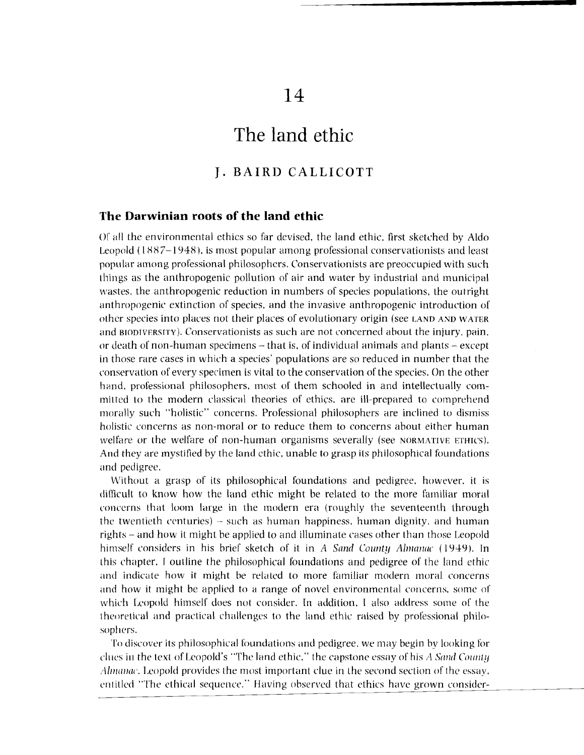## **The land ethic**

#### **J. BAIRD CALLICOTT**

#### **The Darwinian roots of the land ethic**

or all the environmental ethics so far devised. the land ethic. first sketched by Aldo Leopold  $(1887-1948)$ , is most popular among professional conservationists and least popular among professional philosophers. Conservationists are preoccupied with such things as the anthropogenic pollution of air and water by industrial and municipal wastes. the anthropogenic reduction in numbers of species populations. the outright anthropogenic extinction of species. and the invasive anthropogenic introduction of other species into places not their places of evolutionary origin (see LAND AND WATER and BIODIVERSITY). Conservationists as such are not concerned about the injury. pain. or death of non-human specimens  $-$  that is, of individual animals and plants  $-$  except in those rare cases in which a species' populations are so reduced in number that the conservation of every specimen is vital to the conservation of the species. On the other hand. professional philosophers. most of them schooled in and intellectually committed to the modern classical theories of ethics. are ill-prepared to comprehend morally such "holistic" concerns. Professional philosophers are inclined to dismiss holistic concerns as non-moral or to reduce them to concerns about either human welfare or the welfare of non-human organisms severally (see NORMATIVE ETHICS). And they are mystilled by the land ethic. unable to grasp its philosophical foundations and pedigree.

Without a grasp of its philosophical foundations and pedigree. however. it is dimcult to know how the land ethic might be related to the more familiar moral concerns that loom large in the modern era (roughly the seventeenth through the twentieth centuries)  $-$  such as human happiness, human dignity, and human rights - and how it might be applied to and illuminate cases other than those Leopold himself considers in his brief sketch of it in A Sand County Almanac (1949). In this chapter. J outline the philosophical foundations and pedigree of the land ethic and indicate how it might be related to more familiar modern moral concerns and how it might be applied to a range of novel environmental concerns. some of which Leopold himself does not consider. In addition. I also address some of the theoretical and practical challenges to the land ethic raised by professional philosophers.

To discover its philosophical foundations and pedigree, we may begin by looking for clues in the text of Leopold's "The land ethic." the capstone essay of his A *Sand County* Almanac. Leopold provides the most important clue in the second section of the essay, entitled "The ethical sequence." Having observed that ethics have grown consider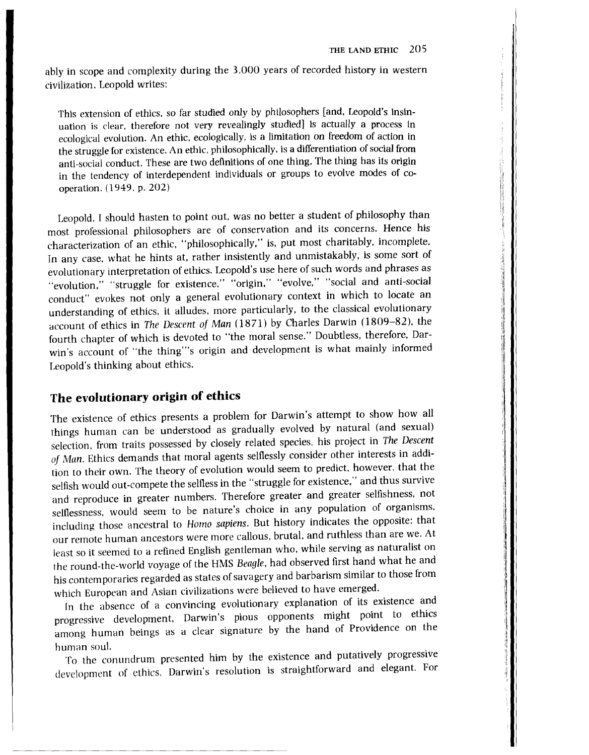ably in scope and complexity during the 3.000 years of recorded history in western civilization. Leopold writes:

This extension of ethics. so far studied only by philosophers [and. Leopold's insinuation is clear. therefore not very revealingly studied] is actually a process in ecological evolution. An ethic. ecologically. is a limitation on freedom of action in the struggle for existence. An ethic. philosophically. is a differentiation of social from anti-social conduct. These are two definitions of one thing. The thing has its origin in the tendency of interdependent individuals or groups to evolve modes of cooperation. (1949. p. 202)

Leopold. I should hasten to point out. was no better a student of philosophy than most professional philosophers are of conservation and its concerns. Hence his characterization of an ethic, "philosophically." is. put most charitably, incomplete. In any case. what he hints at, rather insistently and unmistakably, is some sort of evolutionary interpretation of ethics. Leopold's use here of such words and phrases as "evolution." "struggle for existence," "origin," "evolve," "social and anti-social conduct" evokes not only a general evolutionary context in which to locate an understanding of ethics, it alludes. more particularly, to the classical evolutionary account of ethics in *The Descent of Man* (1871) by Charles Darwin (1809-82), the fourth chapter of which is devoted to "the moral sense." Doubtless, therefore. Darwin's account of "the thing'''s origin and development is what mainly informed Leopold's thinking about ethics.

#### **The evolutionary origin of ethics**

The existence of ethics presents a problem for Darwin's attempt to show how all things human can be understood as gradually evolved by natural (and sexual) selection, from traits possessed by closely related species, his project in *The Descent of Man.* Ethics demands that moral agents selflessly consider other interests in addition to their own. The theory of evolution would seem to predict. however, that the selfish would out-compete the selfless in the "struggle for existence," and thus survive and reproduce in greater numbers. Therefore greater and greater selfishness, not selflessness. would seem to be nature's choice in any population of organisms. including those ancestral to *Homo sapiens.* But history indicates the opposite: that our remote human ancestors were more callous, brutal, and ruthless than are we. At least so it seemed to a refined English gentleman who, while serving as naturalist on the round-the-world voyage of the HMS *Beagle,* had observed first hand what he and his contemporaries regarded as states of savagery and barbarism similar to those from which European and Asian civilizations were believed to have emerged.

[n the absence of a convincing evolutionary explanation of its existence and progressive development, Darwin's pious opponents might point to ethics among human beings as a clear signature by the hand of Providence on the human soul.

To the conundrum presented him by the existence and putatively progressive development of ethics. Darwin's resolution is straightforward and elegant. For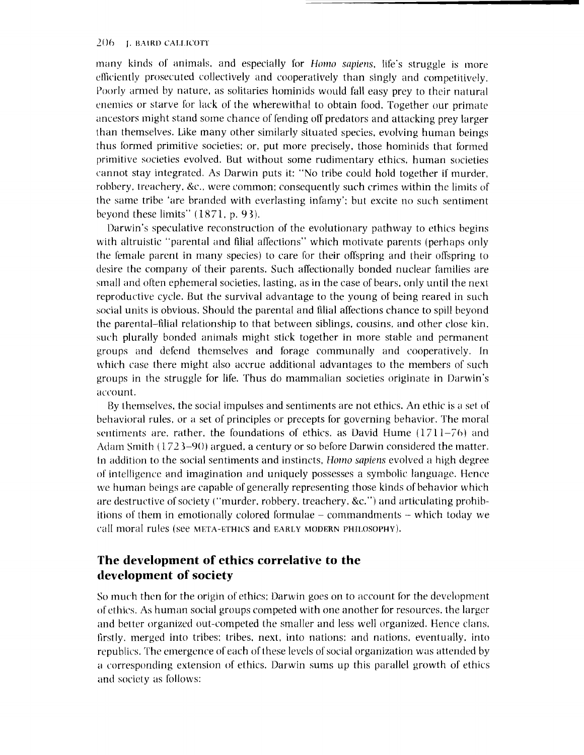many kinds of animals, and especially for *Homo sapiens,* life's struggle is more efficiently prosecuted collectively and cooperatively than singly and competitively. Poorly armed by nature, as solitaries hominids would fall easy prey to their natural enemies or starve for lack of the wherewithal to obtain food. Together our primate ancestors might stand some chance of fending off predators and attacking prey larger than themselves. Like many other similarly situated species. evolving human beings thus formed primitive societies; or, put more precisely. those hominids that formed primitive societies evolved. But without some rudimentary ethics. human societies cannot stay integrated. As Darwin puts it: "No tribe could hold together if murder, robbery, treachery. *&c ..* were common; consequently such crimes within the limits of the same tribe 'are branded with everlasting infamy'; but excite no such sentiment beyond these limits"  $(1871, p. 93)$ .

Darwin's speculative reconstruction of the evolutionary pathway to ethics begins with altruistic "parental and filial affections" which motivate parents (perhaps only the female parent in many species) to care for their offspring and their offspring to desire the company of their parents. Such affectionally bonded nuclear families are small and often ephemeral societies, lasting, as in the case of bears, only until the next reproductive cycle. But the survival advantage to the young of being reared in such social units is obvious. Should the parental and filial affections chance to spill beyond the parental-filial relationship to that between siblings, cousins, and other close kin. such plurally bonded animals might stick together in more stable and permanent groups and defend themselves and forage communally and cooperatively. In which case there might also accrue additional advantages to the members of such groups in the struggle for life. Thus do mammalian societies originate in Darwin's account.

By themselves. the social impulses and sentiments are not ethics. An ethic is a set of behavioral rules, or a set of principles or precepts for governing behavior. The moral sentiments are. rather. the foundations of ethics. as David Hume (1711-76) and Adam Smith (1723-90) argued. a century or so before Darwin considered the matter. In addition to the social sentiments and instincts. *Homo sapiens* evolved a high degree of intelligence and imagination and uniquely possesses a symbolic language. Hence we human beings are capable of generally representing those kinds of behavior which are destructive of society ("murder. robbery. treachery. &c. ") and articulating prohibitions of them in emotionally colored formulae - commandments - which today we call moral rules (see META-ETHICS and EARLY MODERN PHILOSOPHY).

### **The development of ethics correlative to the development of society**

So much then for the origin of ethics; Darwin goes on to account for the development of ethics. As human social groups competed with one another for resources. the larger and better organized out-competed the smaller and less well organized. Hence clans, firstly. merged into tribes: tribes, next, into nations: and nations. eventually. into republics. The emergence of each of these levels of social organization was attended by a corresponding extension of ethics. Darwin sums up this parallel growth of ethics and society as follows: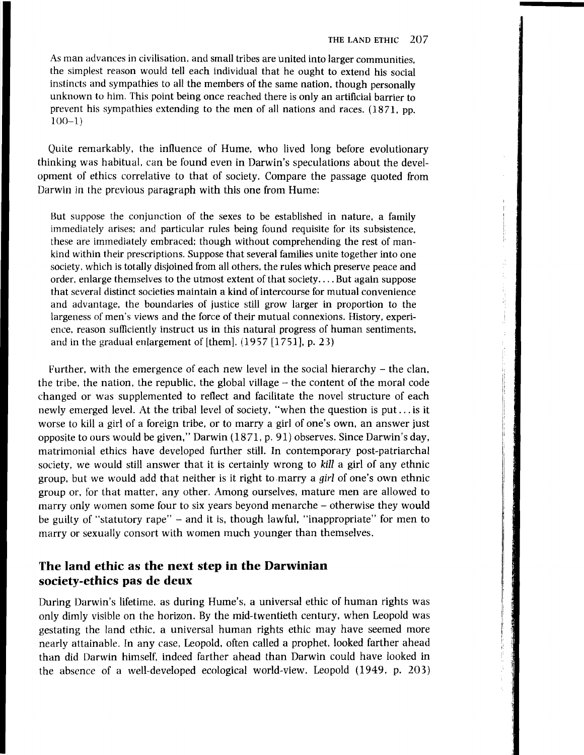As man advances in civilisation, and small tribes are united into larger communities, the simplest reason would tell each individual that he ought to extend his social instincts and sympathies to all the members of the same nation. though personally unknown to him. This point being once reached there is only an artificial barrier to prevent his sympathies extending to the men of all nations and races. (1871, pp. 100-1)

Quite remarkably, the influence of Hume. who lived long before evolutionary thinking was habitual, can be found even in Darwin's speculations about the development of ethics correlative to that of society. Compare the passage quoted from Darwin in the previous paragraph with this one from Hume:

But suppose the conjunction of the sexes to be established in nature. a family immediately arises; and particular rules being found requisite for its subsistence, these are immediately embraced: though without comprehending the rest of mankind within their prescriptions. Suppose that several families unite together into one society, which is totally disjoined from all others, the rules which preserve peace and order, enlarge themselves to the utmost extent of that society.... But again suppose that several distinct societies maintain a kind of intercourse for mutual convenience and advantage. the boundaries of justice still grow larger in proportion to the largeness of men's views and the force of their mutual connexions. History, experience, reason sufficiently instruct us in this natural progress of human sentiments. and in the gradual enlargement of [them]. (1957 [1751], p. 23)

Further, with the emergence of each new level in the social hierarchy – the clan, the tribe, the nation, the republic, the global village  $-$  the content of the moral code changed or was supplemented to reflect and facilitate the novel structure of each newly emerged level. At the tribal level of society. "when the question is put ... is it worse to kill a girl of a foreign tribe, or to marry a girl of one's own. an answer just opposite to ours would be given," Darwin (1871, p. 91) observes. Since Darwin's day. matrimonial ethics have developed further still. In contemporary post-patriarchal society. we would still answer that it is certainly wrong to *kill* a girl of any ethnic group, but we would add that neither is it right to .marry a *girl* of one's own ethnic group or, for that matter, any other. Among ourselves, mature men are allowed to marry only women some four to six years beyond menarche - otherwise they would be guilty of "statutory rape" - and it is, though lawful. "inappropriate" for men to marry or sexually consort with women much younger than themselves.

#### **The land ethic as the next step in the Darwinian society-ethics pas de deux**

During Darwin's lifetime, as during Hume's, a universal ethic of human rights was only dimly visible on the horizon. By the mid-twentieth century, when Leopold was gestating the land ethic. a universal human rights ethic may have seemed more nearly attainable. In any case, Leopold. often called a prophet, looked farther ahead than did Darwin himself, indeed farther ahead than Darwin could have looked in the absence of a well-developed ecological world-view. Leopold (1949. p. 203)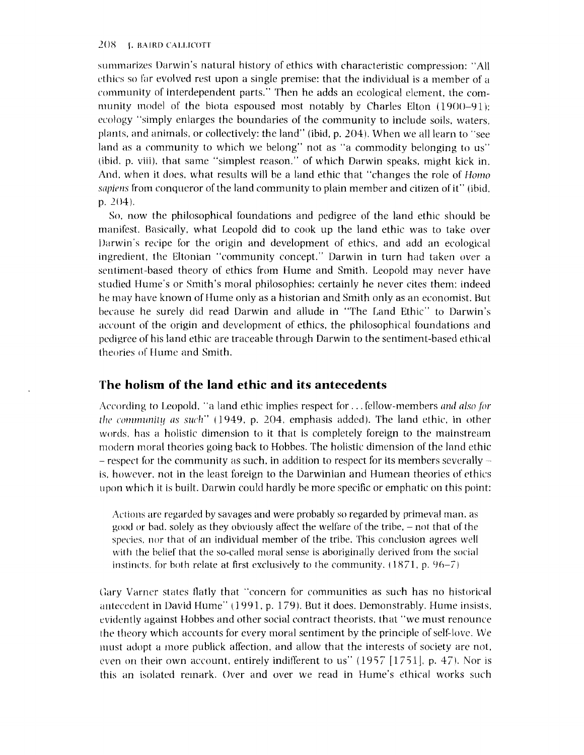summarizes Darwin's natural history of ethics with characteristic compression: "All ethics so far evolved rest upon a single premise: that the individual is a member of a community of interdependent parts." Then he adds an ecological element, the community model of the biota espoused most notably by Charles Elton  $(1900-91)$ : ecology "simply enlarges the boundaries of the community to include soils, waters. plants, and animals, or collectively: the land" (ibid,  $p. 204$ ). When we all learn to "see land as a community to which we belong" not as "a commodity belonging to us" (ibid. p. viii). that same "simplest reason," of which Darwin speaks, might kick in. And. when it does, what results will be a land ethic that "changes the role of Homo *sapiens* from conqueror of the land community to plain member and citizen of it" (ibid, p. 2()4),

So. now the philosophical foundations and pedigree of the land ethic should be manifest. Basically, what Leopold did to cook up the land ethic was to take over Darwin's recipe for the origin and development of ethics, and add an ecological ingredient. the Eltonian "community concept." Darwin in turn had taken over a sentiment-based theory of ethics from Hume and Smith. Leopold may never have studied Hume's or Smith's moral philosophies: certainly he never cites them: indeed he may have known of Hume only as a historian and Smith only as an economist. But because he surely did read Darwin and allude in "The Land Ethic" to Darwin's account of the origin and development of ethics, the philosophical foundations and pedigree of his land ethic are traceable through Darwin to the sentiment-based ethical theories of Hume and Smith.

### **The holism of the land ethic and its antecedents**

According to Leopold, "a land ethic implies respect for ... fellow-members *and also for the community as such*" (1949, p. 204, emphasis added). The land ethic, in other words. has a holistic dimension to it that is completely foreign to the mainstream modern moral theories going back to Hobbes. The holistic dimension of the land ethic  $-$  respect for the community as such, in addition to respect for its members severally  $$ is. however. not in the least foreign to the Darwinian and Humean theories of ethics upon which it is built. Darwin could hardly be more specific or emphatic on this point:

Actions are regarded by savages and were probably so regarded by primeval man. as good or bad, solely as they obviously affect the welfare of the tribe,  $-$  not that of the species, nor that of an individual member of the tribe. This conclusion agrees well with the helief that the so-called moral sense is aboriginally derived from the social instincts. for both relate at first exclusively to the community.  $(1871, p. 96-7)$ 

Cary Varner states flatly that "concern for communities as such has no historical antecedent in David Hume"  $(1991, p. 179)$ . But it does. Demonstrably. Hume insists. evidently against Hobbes and other social contract theorists, that "we must renounce the theory which accounts for every moral sentiment by the principle of self-love. We must adopt a more publick affection, and allow that the interests of society are not, even on their own account, entirely indifferent to us" (1957 [1751], p. 47). Nor is this an isolated remark. Over and over we read in Hume's ethical works such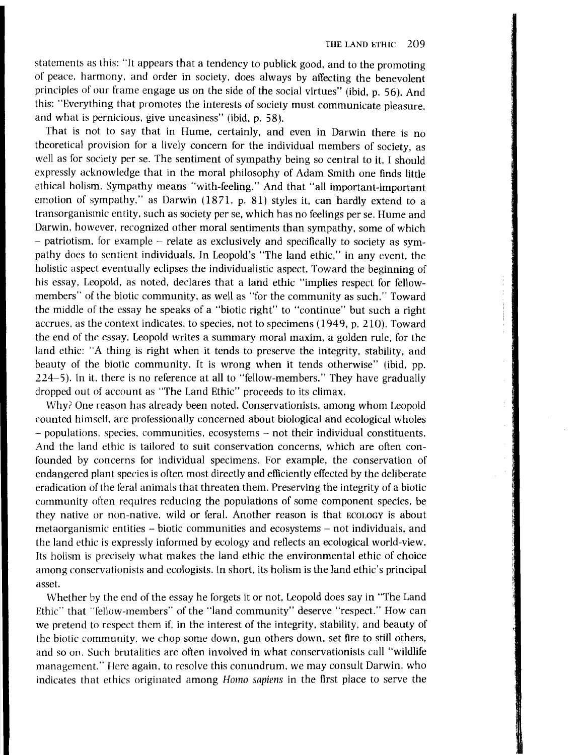statements as this: "It appears that a tendency to publick good, and to the promoting of peace. harmony, and order in society, does always by affecting the benevolent principles of our frame engage us on the side of the social virtues" (ibid. p. 56). And this: "Everything that promotes the interests of society must communicate pleasure, and what is pernicious. give uneasiness" (ibid, p. 58).

That is not to say that in Hume, certainly, and even in Darwin there is no theoretical provision for a lively concern for the individual members of society, as well as for society per se. The sentiment of sympathy being so central to it. I should expressly acknowledge that in the moral philosophy of Adam Smith one finds little ethical holism. Sympathy means "with-feeling." And that "all important-important emotion of sympathy." as Darwin (1871, p. 81) styles it. can hardly extend to a transorganismic entity. such as society per se. which has no feelings per se. Hume and Darwin. however. recognized other moral sentiments than sympathy. some of which  $-$  patriotism, for example  $-$  relate as exclusively and specifically to society as sympathy does to sentient individuals. In Leopold's "The land ethic." in any event, the holistic aspect eventually eclipses the individualistic aspect. Toward the beginning of his essay. Leopold. as noted. declares that a land ethic "implies respect for fellowmembers" of the biotic community, as well as "for the community as such," Toward the middle of the essay he speaks of a "biotic right" to "continue" but such a right accrues. as the context indicates. to species, not to specimens (1949. p. 210). Toward the end of the essay, Leopold writes a summary moral maxim, a golden rule. for the land ethic: "A thing is right when it tends to preserve the integrity, stability, and beauty of the biotic community. It is wrong when it tends otherwise" (ibid, pp. 224-5). [n it. there is no reference at all to "fellow-members." They have gradually dropped out of account as "The Land Ethic" proceeds to its climax.

Why? One reason has already been noted. Conservationists, among whom Leopold counted himself. are professionally concerned about biological and ecological wholes - populations, species, communities, ecosystems - not their individual constituents. And the land ethic is tailored to suit conservation concerns, which are often confounded by concerns for individual specimens. For example. the conservation of endangered plant species is often most directly and efficiently effected by the deliberate eradication of the feral animals that threaten them. Preserving the integrity of a biotic community often requires reducing the populations of some component species, be they native or non-native. wild or feral. Another reason is that ECOLOGY is about metaorganismic entities - biotic communities and ecosystems - not individuals, and the land ethic is expressly informed by ecology and reflects an ecological world-view. Its holism is precisely what makes the land ethic the environmental ethic of choice among conservationists and ecologists. [n short. its holism is the land ethic's principal asset.

Whether by the end of the essay he forgets it or not, Leopold does say in "The Land Ethic" that "fellow-members" of the "land community" deserve "respect." How can we pretend to respect them if. in the interest of the integrity, stability, and beauty of the biotic community, we chop some down, gun others down, set fire to still others, and so on. Such brutalities are often involved in what conservationists call "wildlife management." Here again. to resolve this conundrum, we may consult Darwin. who indicates that ethics originated among *Homo sapiens* in the first place to serve the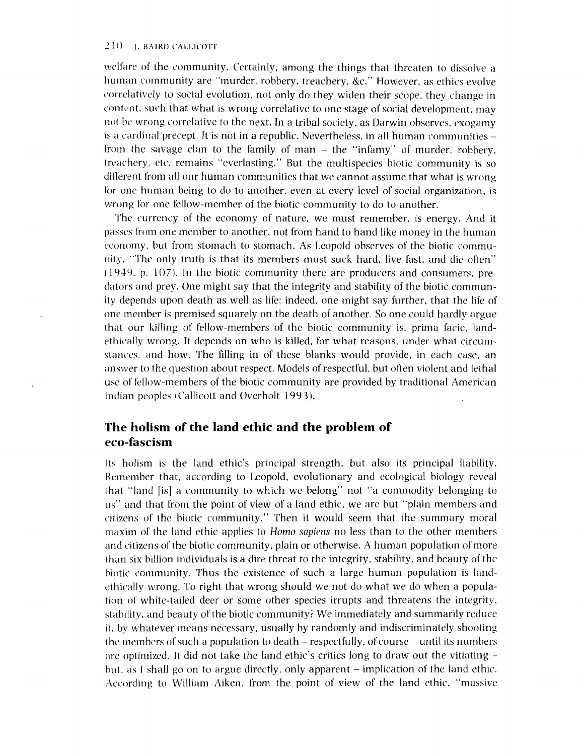welfare of the community. Certainly, among the things that threaten to dissolve a human community are "murder. robbery, treachery, &c." However, as ethics evolve correlatively to social evolution. not only do they widen their scope, they change in content, such that what is wrong correlative to one stage of social development, may not be wrong correlative to the next. In a tribal society, as Darwin observes. exogamy is a cardinal precept. ft is not in a republic. Nevertheless. in all human communitiesfrom the savage clan to the family of man – the "infamy" of murder, robbery, treachery. *etc.* remains "everlasting." But the multispecies biotic community is so different from all our human communities that we cannot assume that what is wrong for one human being to do to another. even at every level of social organization, is wrong for one fellow-member of the biotic community to do to another.

The currency of the economy of nature, we must remember. is energy. And it passes from one member to another, not from hand to hand like money in the human l'conomy, but from stomach to stomach. As Leopold observes of the biotic community. "The only truth is that its members must suck hard, live fast, and die often" (1949. p. lOf). In the biotic community there are producers and consumers, predators and prey. One might say that the integrity and stability of the biotic community depends upon death as well as life: indeed, one might say further. that the life of one member is premised squarely on the death of another. So one could hardly argue that our killing of fellow-members of the biotic community is, prima facie, landethically wrong. It depends on who is killed, for what reasons, under what circumstances. and how. The filling in of these blanks would provide, in each case, an answer to the question about respect. Models of respectful. but often violent and lethal usc of fellow-members of the biotic community are provided by traditional American Indian peoples (Callicott and Overholt 1993).

#### **The holism of the land ethic and the problem of eco-fascism**

Its holism is the land ethic's principal strength. but also its principal liability. Remember that, according to Leopold, evolutionary and ecological biology reveal that "land [is] a community to which we belong" not "a commodity belonging to us" and that from the point of view of a land ethic. we are but "plain members and citizens of the biotic community." Then it would seem that the summary moral maxim of the land ethic applies to *Homo sapiens* no less than to the other members and citizens of the biotic community, plain or otherwise. A human population of more than six billion individuals is a dire threat to the integrity. stability, and beauty of the biotic community. Thus the existence of such a large human population is landethically wrong. To right that wrong should we not do what we do when a population of white-tailed deer or some other species irrupts and threatens the integrity. stability, and beauty of the biotic community? We immediately and summarily reduce it. by whatever means necessary, usually by randomly and indiscriminately shooting the members of such a population to death  $-$  respectfully, of course  $-$  until its numbers are optimized. It did not take the land ethic's critics long to draw out the vitiating  $$ hut. as I shall go on to argue directly. only apparent - implication of the land ethic. According to William Aiken. from the point of view of the land ethic. "massive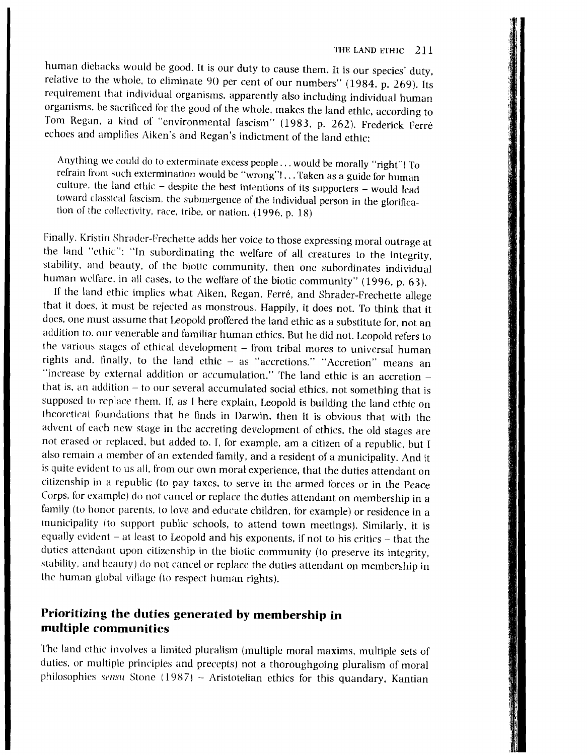human diebacks would be good. It is our duty to cause them. It is our species' duty. relative to the whole, to eliminate 90 per cent of our numbers" (1984. p. 269). Its requirement that individual organisms. apparently also including individual human organisms, be sacrificed for the good of the whole, makes the land ethic, according to Tom Regan, a kind of "environmental fascism" (1983. p. 262). Frederick Ferre echoes and amplifies Aiken's and Regan's indictment of the land ethic:

Anything we could do to exterminate excess people ... would be morally "right"! To refrain from such extermination would be "wrong" !... Taken as a guide for human culture, the land ethic  $-$  despite the best intentions of its supporters  $-$  would lead toward classical fascism. the submergence of the individual person in the glorification of the collectivity. race. tribe. or nation. (1996. p. 18)

Finally. Kristin Shrader-Frechette adds her voice to those expressing moral outrage at the land "cthic": "In subordinating the welfare of all creatures to the integrity, stability. and beauty, of the biotic community, then one subordinates individual human welfare. in all cases, to the welfare of the biotic community" (1996. p. 63).

If the land ethic implies what Aiken, Regan, Ferre. and Shrader-Frechette allege that it does, it must be rejected as monstrous. Happily, it does not. To think that it does, one must assume that Leopold proffered the land ethic as a substitute for, not an addition to. our venerable and familiar human ethics. But he did not. Leopold refers to the various stages of ethical development  $-$  from tribal mores to universal human rights and. finally, to the land ethic  $-$  as "accretions." "Accretion" means an "increase by external addition or accumulation." The land ethic is an accretion that is. an addition  $-$  to our several accumulated social ethics, not something that is supposed to replace them. If, as I here explain. Leopold is building the land ethic on theoretical foundations that he finds in Darwin, then it is obvious that with the advent of cach new stage in the accreting development of ethics. the old stages are not erased or replaced, but added to. I, for example, am a citizen of a republic, but I also remain a member of an extended family, and a resident of a municipality. And it is quite evident to us all, from our own moral experience, that the duties attendant on citizenship in a republic (to pay taxes, to serve in the armed forces or in the Peace Corps, for example) do not cancel or replace the duties attendant on membership in a family (to honor parents, to love and educate children, for example) or residence in a municipality (to support public schools, to attend town meetings). Similarly, it is equally evident - at least to Leopold and his exponents, if not to his critics - that the duties attendant upon citizenship in the biotic community (to preserve its integrity. stability. and beauty) do not cancel or replace the duties attendant on membership in the human global village (to respect human rights).

#### **Prioritizing the duties generated by membership in multiple communities**

The land ethic involves a limited pluralism (multiple moral maxims, multiple sets of duties. or multiple principles and precepts) not a thoroughgoing pluralism of moral philosophies *sensu* Stone (1987) - Aristotelian ethics for this quandary, Kantian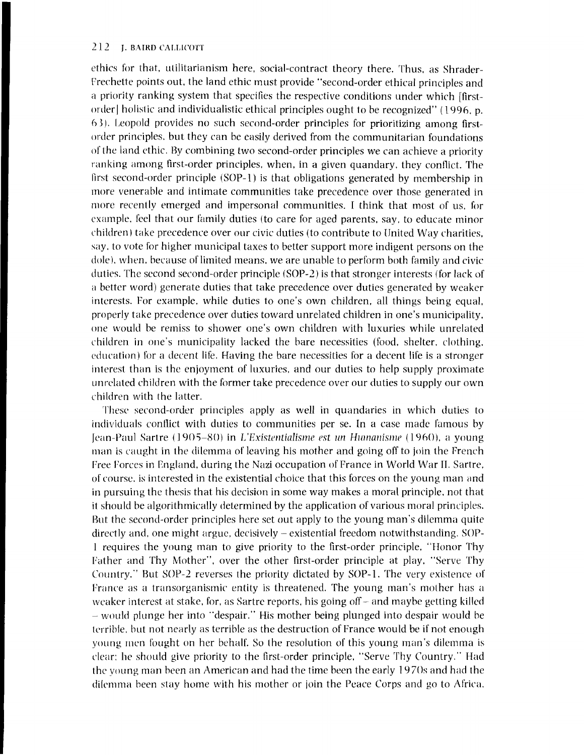ethics for that, utilitarianism here, social-contract theory there. Thus, as Shrader-Frechette points out. the land ethic must provide "second-order ethical principles and a priority ranking system that specifies the respective conditions under which [firstorder] holistic and individualistic ethical principles ought to be recognized" (1996. p. (3). Leopold provides no such second-order principles for prioritizing among firstorder principles, but they can be easily derived from the communitarian foundations of the land ethic. By combining two second-order principles we can achieve a priority ranking among first-order principles, when, in a given quandary, they conflict. The first second-order principle (SOP-1) is that obligations generated by membership in more venerable and intimate communities take precedence over those generated in more recently emerged and impersonal communities. I think that most of us, for example, feel that our family duties (to care for aged parents, say. to educate minor children) take precedence over our civic duties (to contribute to United Way charities, say. to vote for higher municipal taxes to better support more indigent persons on the dole), when, because of limited means, we are unable to perform both family and civic duties. The second second-order principle (SOP-2) is that stronger interests (for lack of a better word) generate duties that take precedence over duties generated by weaker interests. For example. while duties to one's own children, all things being equal, properly take precedence over duties toward unrelated children in one's municipality, one would be remiss to shower one's own children with luxuries while unrelated children in one's municipality lacked the bare necessities (food, shelter, clothing, education) for a decent life. Having the bare necessities for a decent life is a stronger interest than is the enjoyment of luxuries, and our duties to help supply proximate unrelated children with the former take precedence over our duties to supply our own children with the latter.

These second-order principles apply as well in quandaries in which duties to individuals conflict with duties to communities per se. In a case made famous by Jean-Paul Sartre (1905–80) in *L'Existentialisme est un Hunanisme* (1960), a young man is caught in the dilemma of leaving his mother and going off to join the French Free Forces in England, during the Nazi occupation of France in World War II. Sartre, of course. is interested in the existential choice that this forces on the young man and in pursuing the thesis that his decision in some way makes a moral principle, not that it should be algorithmically determined by the application of various moral principles. But the second-order principles here set out apply to the young man's dilemma quite directly and, one might argue, decisively - existential freedom notwithstanding. SOP-1 requires the young man to give priority to the first-order principle, "Honor Thy Father and Thy Mother", over the other first-order principle at play, "Serve Thy Country," But SOP-2 reverses the priority dictated by SOP-I. The very existence of France as a transorganismic entity is threatened. The young man's mother has a weaker interest at stake, for, as Sartre reports, his going off – and maybe getting killed - would plunge her into "despair." His mother being plunged into despair would be terrible. but not nearly as terrible as the destruction of France would be if not enough young men fought on her behalf. So the resolution of this young man's dilemma is clear: he should give priority to the first-order principle, "Serve Thy Country." Had the young man been an American and had the time been the early 19 70s and had the dilemma been stay home with his mother or join the Peace Corps and go to Africa.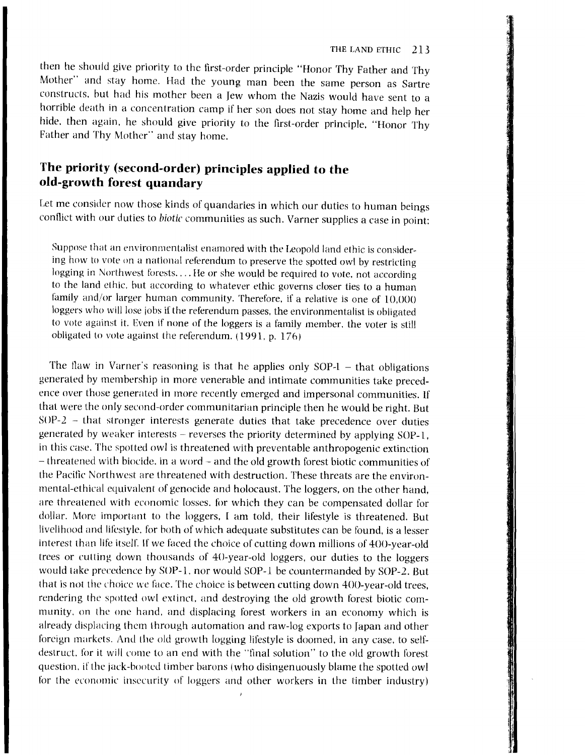then he should give priority to the first-order principle "Honor Thy Father and Thy Mother" and stay home. Had the young man been the same person as Sartre constructs, but had his mother been a Jew whom the Nazis would have sent to a horrible death in a concentration camp if her son does not stay home and help her hide, then again, he should give priority to the first-order principle, "Honor Thy Father and Thy Mother" and stay home.

#### **The priority (second-order) principles applied to the old-growth forest quandary**

Let me consider now those kinds of quandaries in which our duties to human beings conflict with our duties to *biotic* communities as such. Varner supplies a case in point:

Suppose that an environmentalist enamored with the Leopold land ethic is considering how to vote on a national referendum to preserve the spotted owl by restricting logging in Northwest forests.... He or she would be required to vote, not according to the land elhic. but according to whatever ethic governs closer ties to a human family and/or larger human community. Therefore, if a relative is one of 10,000 loggers who will lose jobs if the referendum passes, the environmentalist is obligated to vote against it. Even if none of the loggers is a family member, the voter is still obligated to vote against the referendum. (1991, p. 176)

The flaw in Varner's reasoning is that he applies only  $SOP-1$  – that obligations generated by membership in more venerable and intimate communities take precedence over those generated in more recently emerged and impersonal communities. If that were the only second-order communitarian principle then he would be right. But SOP-2 - that stronger interests generate duties that take precedence over duties generated by weaker interests - reverses the priority determined by applying SOP-1, in this case. The spotted owl is threatened with preventable anthropogenic extinction - threatened with biocide. in a word - and the old growth forest biotic communities of the Pacific Northwest are threatened with destruction. These threats are the environmental-ethical equivalent of genocide and holocaust. The loggers, on the other hand, are threatened with economic losses. for which they can be compensated dollar for dollar. More important to the loggers, I am told, their lifestyle is threatened. But livelihood and lifestyle. for both of which adequate substitutes can be found, is a lesser interest than life itself. If we faced the choice of cutting down millions of 400-year-old trees or cutting down thousands of 40-year-old loggers, our duties to the loggers would take precedence by SOP-I. nor would SOP-l be countermanded by SOP-2. But that is not the choice we face. The choice is between cutting down 400-year-old trees, rendering the spotted owl extinct, and destroying the old growth forest biotic community, on the one hand, and displacing forest workers in an economy which is already displacing them Ihrough automation and raw-log exports to Japan and other foreign markets. And the old growth logging lifestyle is doomed, in any case, to selfdestruct. for it will come to an end with the "final solution" to the old growth forest question. if the jack-booted timber barons (who disingenuously blame the spotted owl for the economic insecurity of loggers and other workers in the timber industry)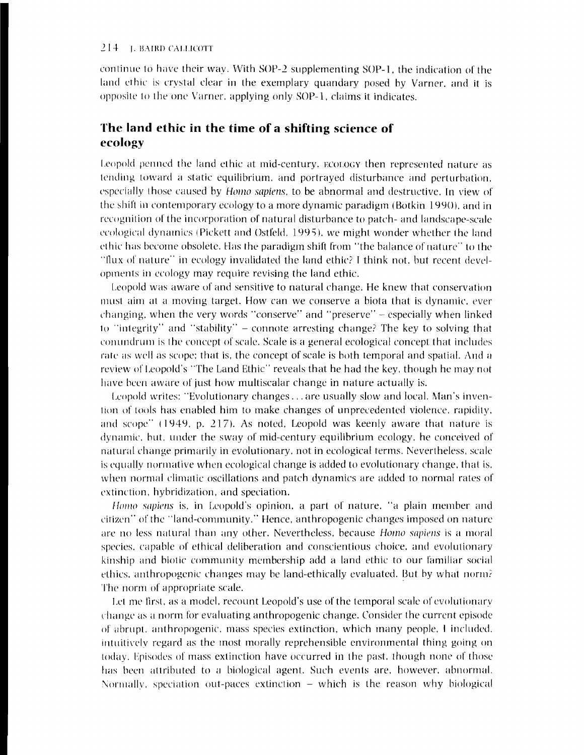continue to have their way. With SOP-2 supplementing SOP-I, the indication of the land ethic is crystal clear in the exemplary quandary posed by Varner. and it is opposite to the one Varner, applying only SOP-l, claims it indicates.

#### **The land ethic in the time of a shifting science of ecology**

Leopold penned the land ethic at mid-century. ECOLOGY then represented nature as tending toward a static equilibrium, and portrayed disturbance and perturbation, especially those caused by *Homo sapiens*, to be abnormal and destructive. In view of the shift in contemporary ecology to a more dynamic paradigm (Botkin 1990), and in recognition of the incorporation of natural disturbance to patch- and landscape-scale ecological dynamics (Pickett and Ostfeld, 1995), we might wonder whether the land ethic has become obsolete. Has the paradigm shift from "the balance of nature" to the "flux of nature" in ecology invalidated the land ethic? I think not, but recent developments in ecology may require revising the land ethic.

Leopold was aware of and sensitive to natural change. He knew that conservation must aim at a moving target. How can we conserve a biota that is dynamic, ever changing, when the very words "conserve" and "preserve"  $-$  especially when linked 10 "integrity" and "stability" - connote arresting change? The key to solving that conundrum is the concept of scale. Scale is a general ecological concept that includes rate as well as scope; that is, the concept of scale is both temporal and spatial. And a review of Leopold's "The Land Ethic" reveals that he had the key, though he may not have been aware of just how multiscalar change in nature actually is.

Leopold writes: "Evolutionary changes ... are usually slow and local. Man's invention of tools has enabled him to make changes of unprecedented violence. rapidity, and scope"  $(1949, p. 217)$ . As noted, Leopold was keenly aware that nature is dynamic. but. under the sway of mid-century equilibrium ecology. he conceived of natural change primarily in evolutionary. not in ecological terms. Nevertheless, scale is equally normative when ecological change is added to evolutionary change, that is, when normal climatic oscillations and patch dynamics are added to normal rates of extinction, hybridization, and speciation.

Homo *sapicns* is. in Leopold's opinion. a part of nature. "a plain member and citizen" of the "land-community." Hence. anthropogenic changes imposed on nature arc no less natural than any other. Nevertheless. because *Homo sapicns* is a moral species. capable of ethical deliberation and conscientious choice. and evolutionary kinship and biotic community membership add a land ethic to our familiar social ethics, anthropogenic changes may be land-ethically evaluated. But by what norm? The norm of appropriate scale.

Let me first, as a model, recount Leopold's use of the temporal scale of evolutionary change as a norm for evaluating anthropogenic change. Consider the current episode of abrupt, anthropogenic, mass species extinction, which many people, I included. intuitively regard as the most morally reprehensible environmental thing going on today. Episodes of mass extinction have occurred in the past. though nonc of those has been attributed to a biological agent. Such events are, however, abnormal. Normally, speciation out-paces extinction  $-$  which is the reason why biological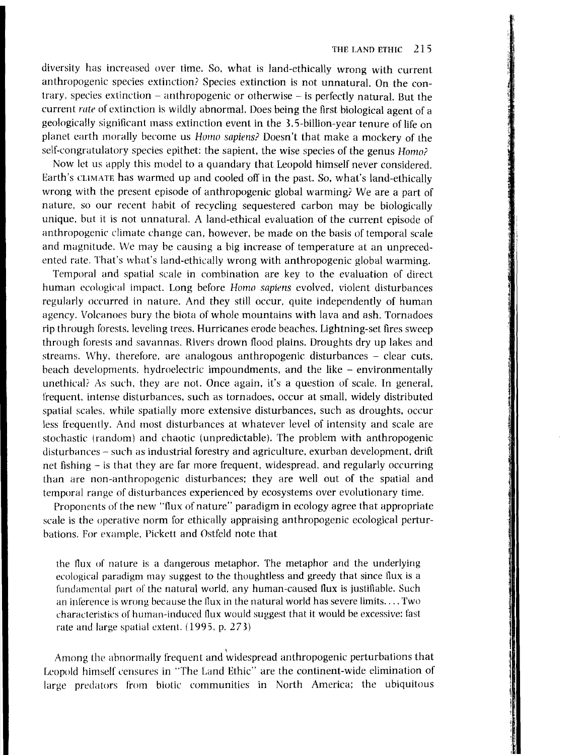diversity has increased over time. So. what is land-ethically wrong with current anthropogenic species extinction? Species extinction is not unnatural. On the contrary, species extinction  $-$  anthropogenic or otherwise  $-$  is perfectly natural. But the current *rate* of extinction is wildly abnormal. Does being the first biological agent of a geologically signitlcant mass extinction event in the 3.5-billion-year tenure of life on planet earth morally become us *Homo sapiens?* Doesn't that make a mockery of the self-congratulatory species epithet: the sapient, the wise species of the genus *Homo?* 

Now let us apply this model to a quandary that Leopold himself never considered. Earth's CLIMATE has warmed up and cooled off in the past. So. what's land-ethically wrong with the present episode of anthropogenic global warming? We are a part of nature. so our recent habit of recycling sequestered carbon may be biologically unique, but it is not unnatural. A land-ethical evaluation of the current episode of anthropogenic climate change can, however. be made on the basis of temporal scale and magnitude. We may be causing a big increase of temperature at an unprecedented rate. That's what's land-ethically wrong with anthropogenic global warming.

Temporal and spatial scale in combination are key to the evaluation of direct human ecological impact. Long before *Homo sapiens* evolved. violent disturbances regularly occurred in nature. And they still occur, quite independently of human agency. Volcanoes bury the biota of whole mountains with lava and ash. Tornadoes rip through forests. leveling trees. Hurricanes erode beaches. Lightning-set fires sweep through forests and savannas. Rivers drown flood plains. Droughts dry up lakes and streams. Why, therefore, are analogous anthropogenic disturbances - clear cuts. beach developments, hydroelectric impoundments, and the like – environmentally unethical? As such, they are not. Once again, it's a question of scale. **In** general. frequent. intense disturbances, such as tornadoes. occur at small, widely distributed spatial scales. while spatially more extensive disturbances, such as droughts. occur less frequently. And most disturbances at whatever level of intensity and scale are stochastic (random) and chaotic (unpredictable). The problem with anthropogenic disturbances - such as industrial forestry and agriculture. exurban development. drift net fishing - is that they are far more frequent, widespread. and regularly occurring than are non-anthropogenic disturbances; they are well out of the spatial and temporal range of disturbances experienced by ecosystems over evolutionary time.

Proponents of the new "flux of nature" paradigm in ecology agree that appropriate scale is the operative norm for ethically appraising anthropogenic ecological perturbations. For example, Pickett and Ostfeld note that

the flux of nature is a dangerous metaphor. The metaphor and the underlying ecological paradigm may suggest to the thoughtless and greedy that since flux is a fundamental part of the natural world, any human-caused flux is justifiable. Such an inference is wrong because the flux in the natural world has severe limits.... Two characteristics of human-induced flux would suggest that it would be excessive: fast rate and large spatial extent. (1995, p. 273)

Among the abnormally frequent and widespread anthropogenic perturbations that  $\,$ Leopold himself censures in "The Land Ethic" are the continent-wide elimination of large predators from biotic communities in North America; the ubiquitous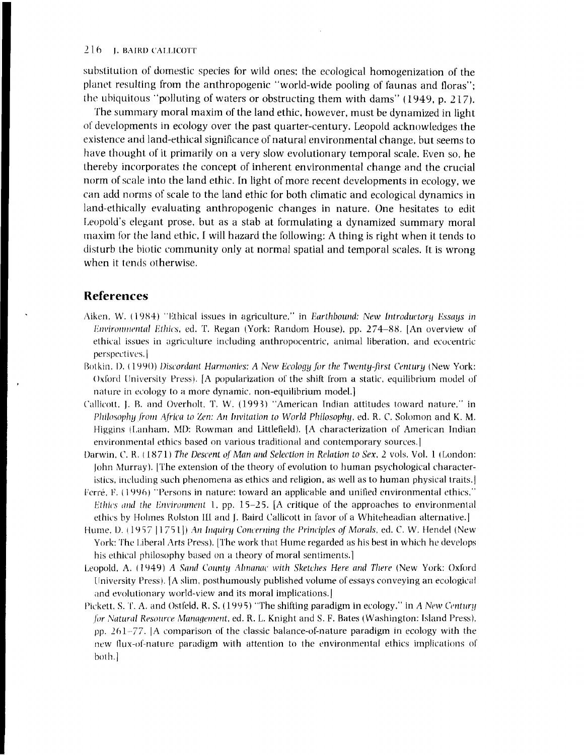#### 216 **J. BAIRD CALLICOTT**

substitution of domestic species for wild ones: the ecological homogenization of the planet resulting from the anthropogenic "world-wide pooling of faunas and tloras": the ubiquitous "polluting of waters or obstructing them with dams" (1949, p. 217).

The summary moral maxim of the land ethic, however, must be dynamized in light of developments in ecology over the past quarter-century, Leopold acknowledges the existence and land-ethical significance of natural environmental change, but seems to have thought of it primarily on a very slow evolutionary temporal scale. Even so, he thereby incorporates the concept of inherent environmental change and the crucial norm of scale into the land ethic. **In** light of more recent developments in ecology, we can add norms of scale to the land ethic for both climatic and ecological dynamics in land-ethically evaluating anthropogenic changes in nature. One hesitates to edit Leopold's elegant prose, but as a stab at formulating a dynamized summary moral maxim for the land ethic, I will hazard the following: A thing is right when it tends to disturb the biotic community only at normal spatial and temporal scales. It is wrong when it tends otherwise.

#### **References**

- /\.iken, W. (19H4) "Ethical issues in agriculture." in *Earthbound: New lntroductoru Essays* in *Environmental Ethics,* ed. T. Regan (York: Random House), pp. 274-88. [An overview of ethical issues in agriculture including anthropocentric, animal liberation, and ecocentric perspectives. I
- Botkin. I). (1990) *Discordant Harmonies: A New Ecology for the Twenty-first Century* (New York: Oxford University Press). [A popularization of the shift from a static. equilibrium model of nature in ecology to a more dynamic, non-equilibrium model.]
- Callicott. I. R. and Overholt. T. W. (1993) "American Indian attitudes toward nature." in *Pllilosophy from Africa to Zen: An Invitation to World Pililosophy,* ed. R. *C.* Solomon and K. M. Higgins (Lanham, MD: Rowman and Littlefield). [A characterization of American Indian environmental ethics based on various traditional and contemporary sources.]
- Darwin. *C.* R. (1871) *The Descent of Man and Selection* in *Relation to Sex.* 2 vols. Vol. 1 (London: John Murray). IThe extension of the theory of evolution to human psychological characteristics, including such phenomena as ethics and religion, as well as to human physical traits.]
- Ferré. F. (1996) "Persons in nature: toward an applicable and unified environmental ethics," *Ethics and the Environment 1, pp. 15–25.* [A critique of the approaches to environmental ethics by Holmes Rolston III and J. Baird Callicott in favor of a Whiteheadian alternative.]
- Hume, D. (1957 [1751]) An *Inquiry Concerning the Principles of Morals*, ed. C. W. Hendel (New York: The Liberal Arts Press). [The work that Hume regarded as his best in which he develops his ethical philosophy based on a theory of moral sentiments.
- Leopold. A. (11)49) *A Sand County Almanac with Sketches Here and There* (New York: Oxford University Press). [A slim, posthumously published volume of essays conveying an ecological and evolutionary world-view and its moral implications.)
- Pickett, S. T. A. and Ostfeld, R. S. (1995) "The shifting paradigm in ecology." in *A New Century* for Natural Resource Management, ed. R. L. Knight and S. F. Bates (Washington: Island Press), pp. 261-77. IA comparison of the classic balance-of-nature paradigm in ecology with the new flux-of-nature paradigm with attention to the environmental ethics implications of both.]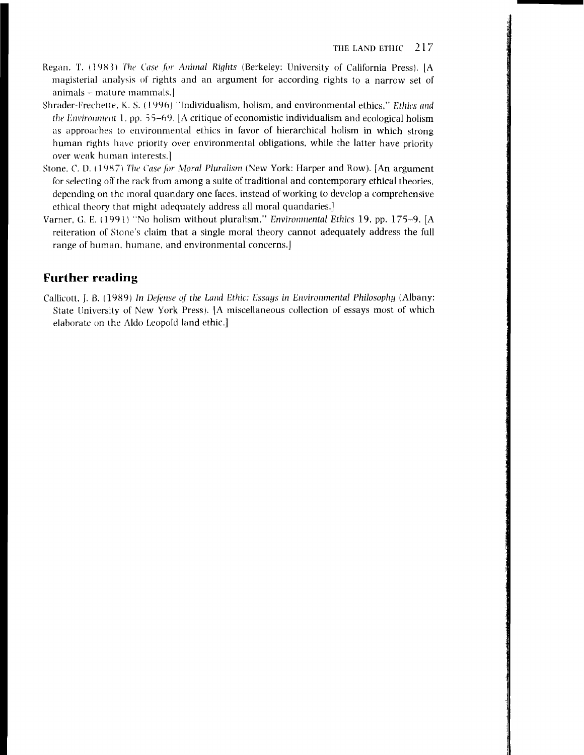- Regan. T. (1983) *The Case for Animal Rights* (Berkeley: University of California Press). [A magisterial analysis of rights and an argument for according rights to a narrow set of animals - mature mammals.]
- Shrader-Frechette, K. S. (1996) "Individualism, holism, and environmental ethics," *Ethics and the Environment 1, pp. 55–69.* [A critique of economistic individualism and ecological holism as approaches to environmental ethics in favor of hierarchical holism in which strong human rights have priority over environmental obligations, while the latter have priority over weak human interests.l
- Stone. *C. D.* (1987) *The Case for Moral Pluralism* (New York: Harper and Row). [An argument for selecting off the rack from among a suite of traditional and contemporary ethical theories, depending on the moral quandary one faces. instead of working to develop a comprehensive ethical theory that might adequately address all moral quandaries.]
- Varner, G. E. (1991) "No holism without pluralism." *Environmental Ethics* 19, pp. 175–9. [A reiteration of Stone's claim that a single moral theory cannot adequately address the full range of human, humane, and environmental concerns.]

#### **Further reading**

Callicott. J. B. (1989) *In Defense of tile Land Ethic: Essays in Environmental Philosophy* (Albany: State University of New York Press). [A miscellaneous collection of essays most of which elaborate on the Aldo Leopold land ethic.